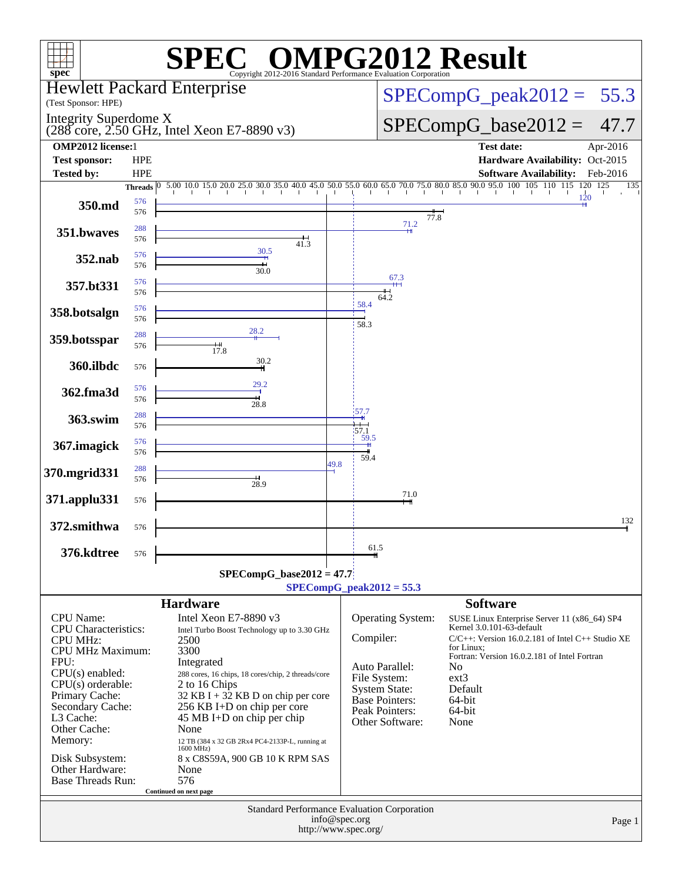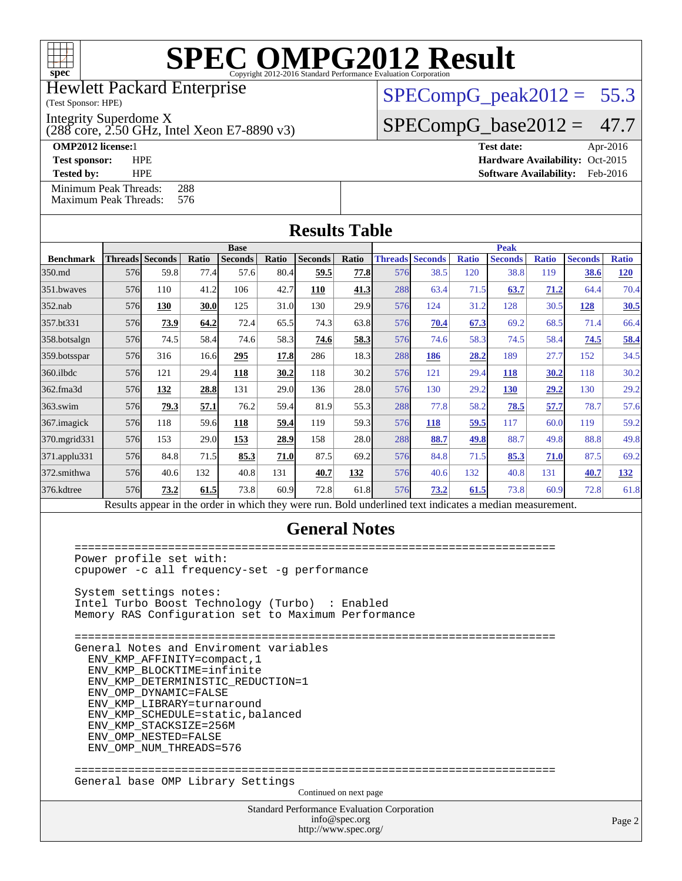

Hewlett Packard Enterprise

(Test Sponsor: HPE)

Integrity Superdome X

(288 core, 2.50 GHz, Intel Xeon E7-8890 v3)

 $SPECompG_peak2012 = 55.3$  $SPECompG_peak2012 = 55.3$ 

 $SPECompG_base2012 = 47.7$  $SPECompG_base2012 = 47.7$ 

**[OMP2012 license:](http://www.spec.org/auto/omp2012/Docs/result-fields.html#OMP2012license)**1 **[Test date:](http://www.spec.org/auto/omp2012/Docs/result-fields.html#Testdate)** Apr-2016

**[Test sponsor:](http://www.spec.org/auto/omp2012/Docs/result-fields.html#Testsponsor)** HPE **[Hardware Availability:](http://www.spec.org/auto/omp2012/Docs/result-fields.html#HardwareAvailability)** Oct-2015 **[Tested by:](http://www.spec.org/auto/omp2012/Docs/result-fields.html#Testedby)** HPE **[Software Availability:](http://www.spec.org/auto/omp2012/Docs/result-fields.html#SoftwareAvailability)** Feb-2016

|  |                                                    |  |     |  |  | Base |  |
|--|----------------------------------------------------|--|-----|--|--|------|--|
|  |                                                    |  |     |  |  |      |  |
|  | Minimum Peak Threads:<br>Maximum Peak Threads: 576 |  | 288 |  |  |      |  |

|                  | <b>Base</b> |                                                                                                          |       |                |       |                |       |     | <b>Peak</b>            |              |                |              |                |              |  |  |
|------------------|-------------|----------------------------------------------------------------------------------------------------------|-------|----------------|-------|----------------|-------|-----|------------------------|--------------|----------------|--------------|----------------|--------------|--|--|
| <b>Benchmark</b> |             | <b>Threads Seconds</b>                                                                                   | Ratio | <b>Seconds</b> | Ratio | <b>Seconds</b> | Ratio |     | <b>Threads Seconds</b> | <b>Ratio</b> | <b>Seconds</b> | <b>Ratio</b> | <b>Seconds</b> | <b>Ratio</b> |  |  |
| 350.md           | 576         | 59.8                                                                                                     | 77.4  | 57.6           | 80.4  | 59.5           | 77.8  | 576 | 38.5                   | 120          | 38.8           | 119          | 38.6           | <b>120</b>   |  |  |
| 351.bwaves       | 576         | 110                                                                                                      | 41.2  | 106            | 42.7  | 110            | 41.3  | 288 | 63.4                   | 71.5         | 63.7           | 71.2         | 64.4           | 70.4         |  |  |
| $352$ .nab       | 576         | 130                                                                                                      | 30.0  | 125            | 31.0  | 130            | 29.9  | 576 | 124                    | 31.2         | 128            | 30.5         | 128            | 30.5         |  |  |
| 357.bt331        | 576         | 73.9                                                                                                     | 64.2  | 72.4           | 65.5  | 74.3           | 63.8  | 576 | 70.4                   | 67.3         | 69.2           | 68.5         | 71.4           | 66.4         |  |  |
| 358.botsalgn     | 576         | 74.5                                                                                                     | 58.4  | 74.6           | 58.3  | 74.6           | 58.3  | 576 | 74.6                   | 58.3         | 74.5           | 58.4         | 74.5           | 58.4         |  |  |
| 359.botsspar     | 576         | 316                                                                                                      | 16.6  | 295            | 17.8  | 286            | 18.3  | 288 | 186                    | 28.2         | 189            | 27.7         | 152            | 34.5         |  |  |
| $360$ .ilbdc     | 576         | 121                                                                                                      | 29.4  | 118            | 30.2  | 118            | 30.2  | 576 | 121                    | 29.4         | 118            | 30.2         | 118            | 30.2         |  |  |
| 362.fma3d        | 576         | 132                                                                                                      | 28.8  | 131            | 29.0  | 136            | 28.0  | 576 | 130                    | 29.2         | 130            | 29.2         | 130            | 29.2         |  |  |
| $363$ .swim      | 576         | 79.3                                                                                                     | 57.1  | 76.2           | 59.4  | 81.9           | 55.3  | 288 | 77.8                   | 58.2         | 78.5           | 57.7         | 78.7           | 57.6         |  |  |
| 367.imagick      | 576         | 118                                                                                                      | 59.6  | 118            | 59.4  | 119            | 59.3  | 576 | 118                    | 59.5         | 117            | 60.0         | 119            | 59.2         |  |  |
| 370.mgrid331     | 576         | 153                                                                                                      | 29.0  | 153            | 28.9  | 158            | 28.0  | 288 | 88.7                   | 49.8         | 88.7           | 49.8         | 88.8           | 49.8         |  |  |
| 371.applu331     | 576         | 84.8                                                                                                     | 71.5  | 85.3           | 71.0  | 87.5           | 69.2  | 576 | 84.8                   | 71.5         | 85.3           | 71.0         | 87.5           | 69.2         |  |  |
| 372.smithwa      | 576         | 40.6                                                                                                     | 132   | 40.8           | 131   | 40.7           | 132   | 576 | 40.6                   | 132          | 40.8           | 131          | 40.7           | 132          |  |  |
| 376.kdtree       | 576         | 73.2                                                                                                     | 61.5  | 73.8           | 60.9  | 72.8           | 61.8  | 576 | 73.2                   | 61.5         | 73.8           | 60.9         | 72.8           | 61.8         |  |  |
|                  |             | Results appear in the order in which they were run. Bold underlined text indicates a median measurement. |       |                |       |                |       |     |                        |              |                |              |                |              |  |  |

### **[General Notes](http://www.spec.org/auto/omp2012/Docs/result-fields.html#GeneralNotes)**

Standard Performance Evaluation Corporation [info@spec.org](mailto:info@spec.org) <http://www.spec.org/> Page 2 ======================================================================== Power profile set with: cpupower -c all frequency-set -g performance System settings notes: Intel Turbo Boost Technology (Turbo) : Enabled Memory RAS Configuration set to Maximum Performance ======================================================================== General Notes and Enviroment variables ENV\_KMP\_AFFINITY=compact,1 ENV\_KMP\_BLOCKTIME=infinite ENV\_KMP\_DETERMINISTIC\_REDUCTION=1 ENV\_OMP\_DYNAMIC=FALSE ENV\_KMP\_LIBRARY=turnaround ENV\_KMP\_SCHEDULE=static,balanced ENV\_KMP\_STACKSIZE=256M ENV\_OMP\_NESTED=FALSE ENV\_OMP\_NUM\_THREADS=576 ======================================================================== General base OMP Library Settings Continued on next page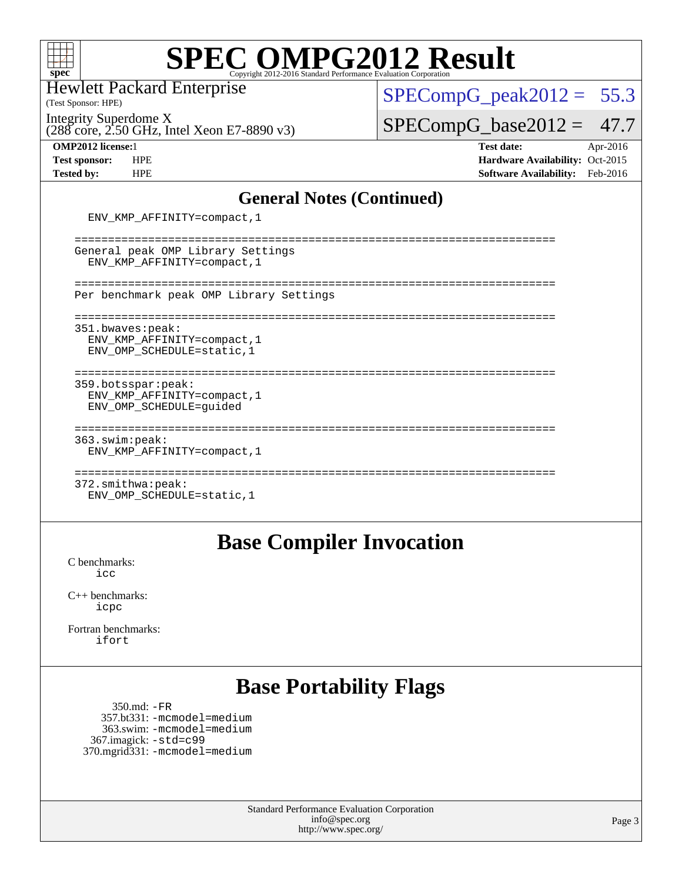

Hewlett Packard Enterprise

(Test Sponsor: HPE)

Integrity Superdome X

(288 core, 2.50 GHz, Intel Xeon E7-8890 v3)

 $SPECompG_peak2012 = 55.3$  $SPECompG_peak2012 = 55.3$ 

 $SPECompG_base2012 = 47.7$  $SPECompG_base2012 = 47.7$ 

**[OMP2012 license:](http://www.spec.org/auto/omp2012/Docs/result-fields.html#OMP2012license)**1 **[Test date:](http://www.spec.org/auto/omp2012/Docs/result-fields.html#Testdate)** Apr-2016 **[Test sponsor:](http://www.spec.org/auto/omp2012/Docs/result-fields.html#Testsponsor)** HPE **[Hardware Availability:](http://www.spec.org/auto/omp2012/Docs/result-fields.html#HardwareAvailability)** Oct-2015 **[Tested by:](http://www.spec.org/auto/omp2012/Docs/result-fields.html#Testedby)** HPE **[Software Availability:](http://www.spec.org/auto/omp2012/Docs/result-fields.html#SoftwareAvailability)** Feb-2016

### **[General Notes \(Continued\)](http://www.spec.org/auto/omp2012/Docs/result-fields.html#GeneralNotes)**

ENV\_KMP\_AFFINITY=compact,1

| General peak OMP Library Settings<br>ENV KMP AFFINITY=compact, 1               |
|--------------------------------------------------------------------------------|
| Per benchmark peak OMP Library Settings                                        |
| 351.bwaves: peak:<br>ENV KMP AFFINITY=compact, 1<br>ENV OMP SCHEDULE=static, 1 |
| 359.botsspar: peak:<br>ENV KMP AFFINITY=compact, 1<br>ENV OMP SCHEDULE=quided  |
| 363.swim:peak:<br>ENV KMP AFFINITY=compact, 1                                  |
| 372.smithwa:peak:<br>ENV OMP SCHEDULE=static, 1                                |

### **[Base Compiler Invocation](http://www.spec.org/auto/omp2012/Docs/result-fields.html#BaseCompilerInvocation)**

[C benchmarks](http://www.spec.org/auto/omp2012/Docs/result-fields.html#Cbenchmarks): [icc](http://www.spec.org/omp2012/results/res2016q2/omp2012-20160412-00072.flags.html#user_CCbase_intel_icc_a87c68a857bc5ec5362391a49d3a37a6)

[C++ benchmarks:](http://www.spec.org/auto/omp2012/Docs/result-fields.html#CXXbenchmarks) [icpc](http://www.spec.org/omp2012/results/res2016q2/omp2012-20160412-00072.flags.html#user_CXXbase_intel_icpc_2d899f8d163502b12eb4a60069f80c1c)

[Fortran benchmarks](http://www.spec.org/auto/omp2012/Docs/result-fields.html#Fortranbenchmarks): [ifort](http://www.spec.org/omp2012/results/res2016q2/omp2012-20160412-00072.flags.html#user_FCbase_intel_ifort_8a5e5e06b19a251bdeaf8fdab5d62f20)

## **[Base Portability Flags](http://www.spec.org/auto/omp2012/Docs/result-fields.html#BasePortabilityFlags)**

 350.md: [-FR](http://www.spec.org/omp2012/results/res2016q2/omp2012-20160412-00072.flags.html#user_baseFPORTABILITY350_md_f-FR) 357.bt331: [-mcmodel=medium](http://www.spec.org/omp2012/results/res2016q2/omp2012-20160412-00072.flags.html#user_basePORTABILITY357_bt331_f-mcmodel_3a41622424bdd074c4f0f2d2f224c7e5) 363.swim: [-mcmodel=medium](http://www.spec.org/omp2012/results/res2016q2/omp2012-20160412-00072.flags.html#user_basePORTABILITY363_swim_f-mcmodel_3a41622424bdd074c4f0f2d2f224c7e5) 367.imagick: [-std=c99](http://www.spec.org/omp2012/results/res2016q2/omp2012-20160412-00072.flags.html#user_baseCPORTABILITY367_imagick_f-std_2ec6533b6e06f1c4a6c9b78d9e9cde24) 370.mgrid331: [-mcmodel=medium](http://www.spec.org/omp2012/results/res2016q2/omp2012-20160412-00072.flags.html#user_baseFPORTABILITY370_mgrid331_f-mcmodel_3a41622424bdd074c4f0f2d2f224c7e5)

> Standard Performance Evaluation Corporation [info@spec.org](mailto:info@spec.org) <http://www.spec.org/>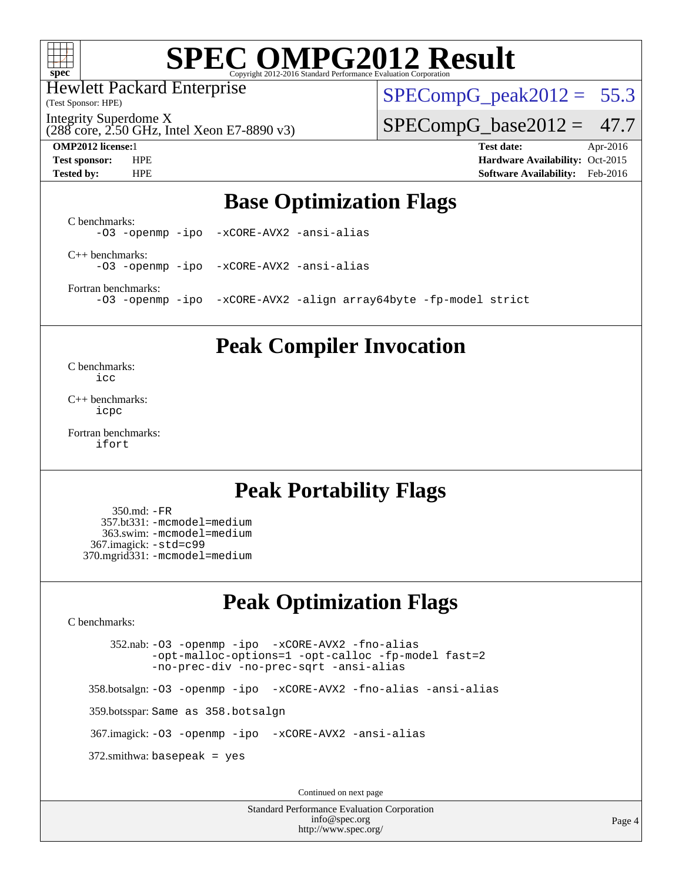

Hewlett Packard Enterprise

(Test Sponsor: HPE)

 $SPECompG_peak2012 = 55.3$  $SPECompG_peak2012 = 55.3$ 

(288 core, 2.50 GHz, Intel Xeon E7-8890 v3) Integrity Superdome X

 $SPECompG_base2012 = 47.7$  $SPECompG_base2012 = 47.7$ 

**[OMP2012 license:](http://www.spec.org/auto/omp2012/Docs/result-fields.html#OMP2012license)**1 **[Test date:](http://www.spec.org/auto/omp2012/Docs/result-fields.html#Testdate)** Apr-2016 **[Test sponsor:](http://www.spec.org/auto/omp2012/Docs/result-fields.html#Testsponsor)** HPE **[Hardware Availability:](http://www.spec.org/auto/omp2012/Docs/result-fields.html#HardwareAvailability)** Oct-2015 **[Tested by:](http://www.spec.org/auto/omp2012/Docs/result-fields.html#Testedby)** HPE **[Software Availability:](http://www.spec.org/auto/omp2012/Docs/result-fields.html#SoftwareAvailability)** Feb-2016

### **[Base Optimization Flags](http://www.spec.org/auto/omp2012/Docs/result-fields.html#BaseOptimizationFlags)**

[C benchmarks](http://www.spec.org/auto/omp2012/Docs/result-fields.html#Cbenchmarks): [-O3](http://www.spec.org/omp2012/results/res2016q2/omp2012-20160412-00072.flags.html#user_CCbase_f-O3) [-openmp](http://www.spec.org/omp2012/results/res2016q2/omp2012-20160412-00072.flags.html#user_CCbase_f-openmp) [-ipo](http://www.spec.org/omp2012/results/res2016q2/omp2012-20160412-00072.flags.html#user_CCbase_f-ipo_84062ab53814f613187d02344b8f49a7) [-xCORE-AVX2](http://www.spec.org/omp2012/results/res2016q2/omp2012-20160412-00072.flags.html#user_CCbase_f-xAVX2_5f5fc0cbe2c9f62c816d3e45806c70d7) [-ansi-alias](http://www.spec.org/omp2012/results/res2016q2/omp2012-20160412-00072.flags.html#user_CCbase_f-ansi-alias) [C++ benchmarks:](http://www.spec.org/auto/omp2012/Docs/result-fields.html#CXXbenchmarks)

[-O3](http://www.spec.org/omp2012/results/res2016q2/omp2012-20160412-00072.flags.html#user_CXXbase_f-O3) [-openmp](http://www.spec.org/omp2012/results/res2016q2/omp2012-20160412-00072.flags.html#user_CXXbase_f-openmp) [-ipo](http://www.spec.org/omp2012/results/res2016q2/omp2012-20160412-00072.flags.html#user_CXXbase_f-ipo_84062ab53814f613187d02344b8f49a7) [-xCORE-AVX2](http://www.spec.org/omp2012/results/res2016q2/omp2012-20160412-00072.flags.html#user_CXXbase_f-xAVX2_5f5fc0cbe2c9f62c816d3e45806c70d7) [-ansi-alias](http://www.spec.org/omp2012/results/res2016q2/omp2012-20160412-00072.flags.html#user_CXXbase_f-ansi-alias)

[Fortran benchmarks](http://www.spec.org/auto/omp2012/Docs/result-fields.html#Fortranbenchmarks):

[-O3](http://www.spec.org/omp2012/results/res2016q2/omp2012-20160412-00072.flags.html#user_FCbase_f-O3) [-openmp](http://www.spec.org/omp2012/results/res2016q2/omp2012-20160412-00072.flags.html#user_FCbase_f-openmp) [-ipo](http://www.spec.org/omp2012/results/res2016q2/omp2012-20160412-00072.flags.html#user_FCbase_f-ipo_84062ab53814f613187d02344b8f49a7) [-xCORE-AVX2](http://www.spec.org/omp2012/results/res2016q2/omp2012-20160412-00072.flags.html#user_FCbase_f-xAVX2_5f5fc0cbe2c9f62c816d3e45806c70d7) [-align array64byte](http://www.spec.org/omp2012/results/res2016q2/omp2012-20160412-00072.flags.html#user_FCbase_f-align_c9377f996e966d652baaf753401d4725) [-fp-model strict](http://www.spec.org/omp2012/results/res2016q2/omp2012-20160412-00072.flags.html#user_FCbase_f-fp-model_aee965c1c69e9213783f4e8f5bf0a1d3)

### **[Peak Compiler Invocation](http://www.spec.org/auto/omp2012/Docs/result-fields.html#PeakCompilerInvocation)**

[C benchmarks](http://www.spec.org/auto/omp2012/Docs/result-fields.html#Cbenchmarks): [icc](http://www.spec.org/omp2012/results/res2016q2/omp2012-20160412-00072.flags.html#user_CCpeak_intel_icc_a87c68a857bc5ec5362391a49d3a37a6)

[C++ benchmarks:](http://www.spec.org/auto/omp2012/Docs/result-fields.html#CXXbenchmarks) [icpc](http://www.spec.org/omp2012/results/res2016q2/omp2012-20160412-00072.flags.html#user_CXXpeak_intel_icpc_2d899f8d163502b12eb4a60069f80c1c)

[Fortran benchmarks](http://www.spec.org/auto/omp2012/Docs/result-fields.html#Fortranbenchmarks): [ifort](http://www.spec.org/omp2012/results/res2016q2/omp2012-20160412-00072.flags.html#user_FCpeak_intel_ifort_8a5e5e06b19a251bdeaf8fdab5d62f20)

### **[Peak Portability Flags](http://www.spec.org/auto/omp2012/Docs/result-fields.html#PeakPortabilityFlags)**

 350.md: [-FR](http://www.spec.org/omp2012/results/res2016q2/omp2012-20160412-00072.flags.html#user_peakFPORTABILITY350_md_f-FR) 357.bt331: [-mcmodel=medium](http://www.spec.org/omp2012/results/res2016q2/omp2012-20160412-00072.flags.html#user_peakPORTABILITY357_bt331_f-mcmodel_3a41622424bdd074c4f0f2d2f224c7e5) 363.swim: [-mcmodel=medium](http://www.spec.org/omp2012/results/res2016q2/omp2012-20160412-00072.flags.html#user_peakPORTABILITY363_swim_f-mcmodel_3a41622424bdd074c4f0f2d2f224c7e5) 367.imagick: [-std=c99](http://www.spec.org/omp2012/results/res2016q2/omp2012-20160412-00072.flags.html#user_peakCPORTABILITY367_imagick_f-std_2ec6533b6e06f1c4a6c9b78d9e9cde24) 370.mgrid331: [-mcmodel=medium](http://www.spec.org/omp2012/results/res2016q2/omp2012-20160412-00072.flags.html#user_peakFPORTABILITY370_mgrid331_f-mcmodel_3a41622424bdd074c4f0f2d2f224c7e5)

### **[Peak Optimization Flags](http://www.spec.org/auto/omp2012/Docs/result-fields.html#PeakOptimizationFlags)**

[C benchmarks](http://www.spec.org/auto/omp2012/Docs/result-fields.html#Cbenchmarks):

 352.nab: [-O3](http://www.spec.org/omp2012/results/res2016q2/omp2012-20160412-00072.flags.html#user_peakOPTIMIZE352_nab_f-O3) [-openmp](http://www.spec.org/omp2012/results/res2016q2/omp2012-20160412-00072.flags.html#user_peakOPTIMIZE352_nab_f-openmp) [-ipo](http://www.spec.org/omp2012/results/res2016q2/omp2012-20160412-00072.flags.html#user_peakOPTIMIZE352_nab_f-ipo_84062ab53814f613187d02344b8f49a7) [-xCORE-AVX2](http://www.spec.org/omp2012/results/res2016q2/omp2012-20160412-00072.flags.html#user_peakOPTIMIZE352_nab_f-xAVX2_5f5fc0cbe2c9f62c816d3e45806c70d7) [-fno-alias](http://www.spec.org/omp2012/results/res2016q2/omp2012-20160412-00072.flags.html#user_peakOPTIMIZE352_nab_f-no-alias_694e77f6c5a51e658e82ccff53a9e63a) [-opt-malloc-options=1](http://www.spec.org/omp2012/results/res2016q2/omp2012-20160412-00072.flags.html#user_peakOPTIMIZE352_nab_f-opt-malloc-options_d882ffc6ff87e51efe45f9a5190004b0) [-opt-calloc](http://www.spec.org/omp2012/results/res2016q2/omp2012-20160412-00072.flags.html#user_peakOPTIMIZE352_nab_f-opt-calloc) [-fp-model fast=2](http://www.spec.org/omp2012/results/res2016q2/omp2012-20160412-00072.flags.html#user_peakOPTIMIZE352_nab_f-fp-model_a7fb8ccb7275e23f0079632c153cfcab) [-no-prec-div](http://www.spec.org/omp2012/results/res2016q2/omp2012-20160412-00072.flags.html#user_peakOPTIMIZE352_nab_f-no-prec-div) [-no-prec-sqrt](http://www.spec.org/omp2012/results/res2016q2/omp2012-20160412-00072.flags.html#user_peakOPTIMIZE352_nab_f-no-prec-sqrt) [-ansi-alias](http://www.spec.org/omp2012/results/res2016q2/omp2012-20160412-00072.flags.html#user_peakCOPTIMIZE352_nab_f-ansi-alias) 358.botsalgn: [-O3](http://www.spec.org/omp2012/results/res2016q2/omp2012-20160412-00072.flags.html#user_peakOPTIMIZE358_botsalgn_f-O3) [-openmp](http://www.spec.org/omp2012/results/res2016q2/omp2012-20160412-00072.flags.html#user_peakOPTIMIZE358_botsalgn_f-openmp) [-ipo](http://www.spec.org/omp2012/results/res2016q2/omp2012-20160412-00072.flags.html#user_peakOPTIMIZE358_botsalgn_f-ipo_84062ab53814f613187d02344b8f49a7) [-xCORE-AVX2](http://www.spec.org/omp2012/results/res2016q2/omp2012-20160412-00072.flags.html#user_peakOPTIMIZE358_botsalgn_f-xAVX2_5f5fc0cbe2c9f62c816d3e45806c70d7) [-fno-alias](http://www.spec.org/omp2012/results/res2016q2/omp2012-20160412-00072.flags.html#user_peakOPTIMIZE358_botsalgn_f-no-alias_694e77f6c5a51e658e82ccff53a9e63a) [-ansi-alias](http://www.spec.org/omp2012/results/res2016q2/omp2012-20160412-00072.flags.html#user_peakCOPTIMIZE358_botsalgn_f-ansi-alias) 359.botsspar: Same as 358.botsalgn 367.imagick: [-O3](http://www.spec.org/omp2012/results/res2016q2/omp2012-20160412-00072.flags.html#user_peakOPTIMIZE367_imagick_f-O3) [-openmp](http://www.spec.org/omp2012/results/res2016q2/omp2012-20160412-00072.flags.html#user_peakOPTIMIZE367_imagick_f-openmp) [-ipo](http://www.spec.org/omp2012/results/res2016q2/omp2012-20160412-00072.flags.html#user_peakOPTIMIZE367_imagick_f-ipo_84062ab53814f613187d02344b8f49a7) [-xCORE-AVX2](http://www.spec.org/omp2012/results/res2016q2/omp2012-20160412-00072.flags.html#user_peakOPTIMIZE367_imagick_f-xAVX2_5f5fc0cbe2c9f62c816d3e45806c70d7) [-ansi-alias](http://www.spec.org/omp2012/results/res2016q2/omp2012-20160412-00072.flags.html#user_peakCOPTIMIZE367_imagick_f-ansi-alias)  $372$ .smithwa: basepeak = yes Continued on next page

> Standard Performance Evaluation Corporation [info@spec.org](mailto:info@spec.org) <http://www.spec.org/>